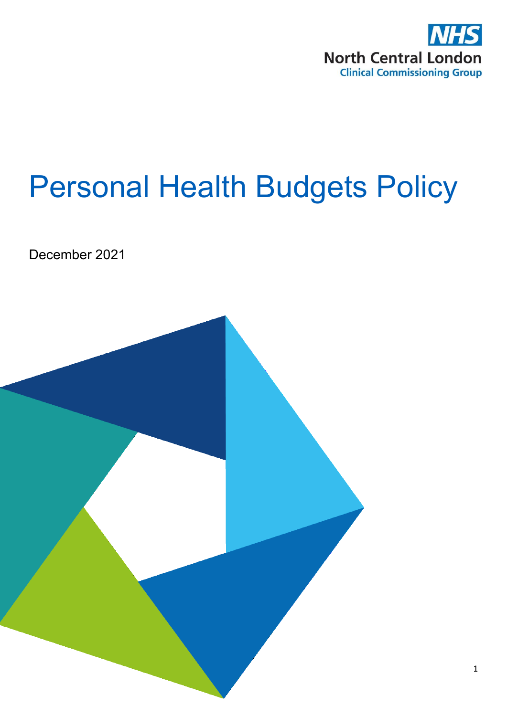

# Personal Health Budgets Policy

December 2021

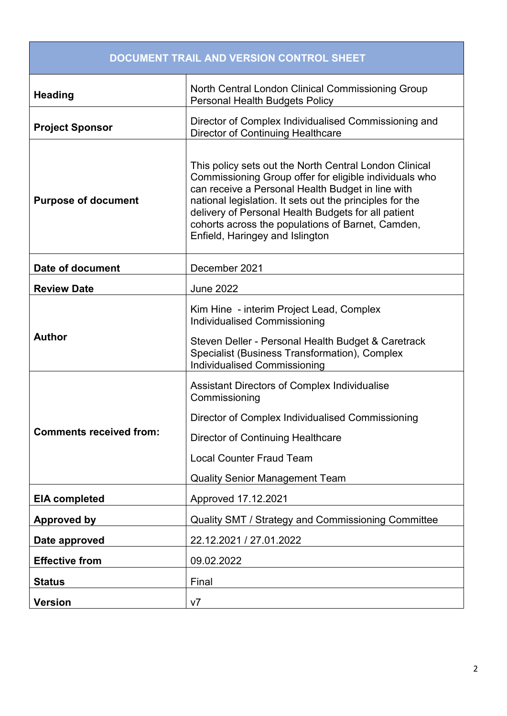| DOCUMENT TRAIL AND VERSION CONTROL SHEET |                                                                                                                                                                                                                                                                                                                                                                                  |
|------------------------------------------|----------------------------------------------------------------------------------------------------------------------------------------------------------------------------------------------------------------------------------------------------------------------------------------------------------------------------------------------------------------------------------|
| <b>Heading</b>                           | North Central London Clinical Commissioning Group<br><b>Personal Health Budgets Policy</b>                                                                                                                                                                                                                                                                                       |
| <b>Project Sponsor</b>                   | Director of Complex Individualised Commissioning and<br>Director of Continuing Healthcare                                                                                                                                                                                                                                                                                        |
| <b>Purpose of document</b>               | This policy sets out the North Central London Clinical<br>Commissioning Group offer for eligible individuals who<br>can receive a Personal Health Budget in line with<br>national legislation. It sets out the principles for the<br>delivery of Personal Health Budgets for all patient<br>cohorts across the populations of Barnet, Camden,<br>Enfield, Haringey and Islington |
| Date of document                         | December 2021                                                                                                                                                                                                                                                                                                                                                                    |
| <b>Review Date</b>                       | <b>June 2022</b>                                                                                                                                                                                                                                                                                                                                                                 |
| <b>Author</b>                            | Kim Hine - interim Project Lead, Complex<br><b>Individualised Commissioning</b><br>Steven Deller - Personal Health Budget & Caretrack<br>Specialist (Business Transformation), Complex<br><b>Individualised Commissioning</b>                                                                                                                                                    |
| <b>Comments received from:</b>           | <b>Assistant Directors of Complex Individualise</b><br>Commissioning<br>Director of Complex Individualised Commissioning<br>Director of Continuing Healthcare<br><b>Local Counter Fraud Team</b><br><b>Quality Senior Management Team</b>                                                                                                                                        |
| <b>EIA completed</b>                     | Approved 17.12.2021                                                                                                                                                                                                                                                                                                                                                              |
| <b>Approved by</b>                       | Quality SMT / Strategy and Commissioning Committee                                                                                                                                                                                                                                                                                                                               |
| Date approved                            | 22.12.2021 / 27.01.2022                                                                                                                                                                                                                                                                                                                                                          |
| <b>Effective from</b>                    | 09.02.2022                                                                                                                                                                                                                                                                                                                                                                       |
| <b>Status</b>                            | Final                                                                                                                                                                                                                                                                                                                                                                            |
| <b>Version</b>                           | V <sub>7</sub>                                                                                                                                                                                                                                                                                                                                                                   |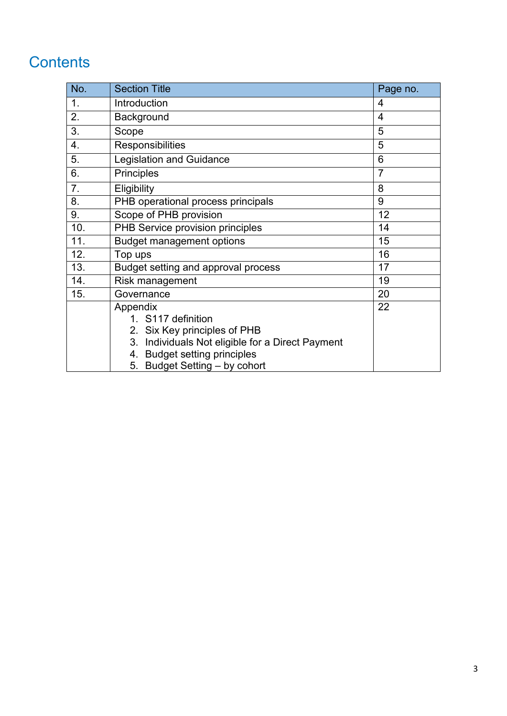## **Contents**

| No. | <b>Section Title</b>                             | Page no.       |
|-----|--------------------------------------------------|----------------|
| 1.  | Introduction                                     | 4              |
| 2.  | Background                                       | $\overline{4}$ |
| 3.  | Scope                                            | 5              |
| 4.  | Responsibilities                                 | 5              |
| 5.  | <b>Legislation and Guidance</b><br>6             |                |
| 6.  | $\overline{7}$<br>Principles                     |                |
| 7.  | Eligibility                                      | 8              |
| 8.  | PHB operational process principals               | 9              |
| 9.  | 12<br>Scope of PHB provision                     |                |
| 10. | PHB Service provision principles<br>14           |                |
| 11. | 15<br><b>Budget management options</b>           |                |
| 12. | 16<br>Top ups                                    |                |
| 13. | Budget setting and approval process              | 17             |
| 14. | Risk management                                  | 19             |
| 15. | Governance                                       | 20             |
|     | Appendix                                         | 22             |
|     | 1. S117 definition                               |                |
|     | 2. Six Key principles of PHB                     |                |
|     | 3. Individuals Not eligible for a Direct Payment |                |
|     | 4. Budget setting principles                     |                |
|     | 5. Budget Setting - by cohort                    |                |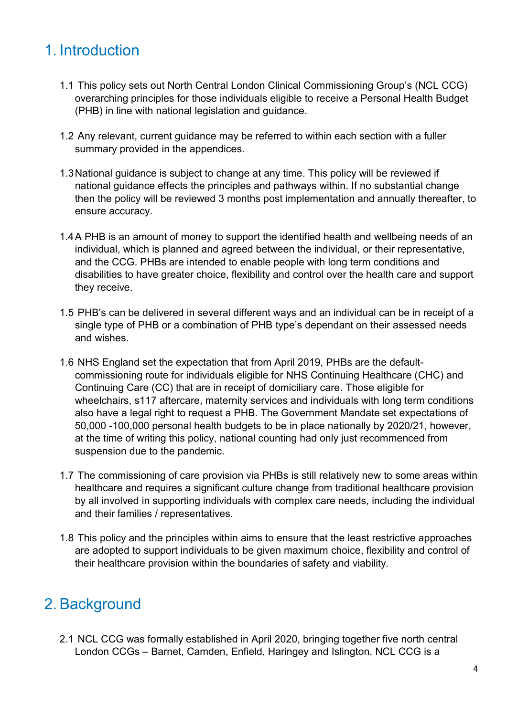#### 1. Introduction

- 1.1 This policy sets out North Central London Clinical Commissioning Group's (NCL CCG) overarching principles for those individuals eligible to receive a Personal Health Budget (PHB) in line with national legislation and guidance.
- 1.2 Any relevant, current guidance may be referred to within each section with a fuller summary provided in the appendices.
- 1.3National guidance is subject to change at any time. This policy will be reviewed if national guidance effects the principles and pathways within. If no substantial change then the policy will be reviewed 3 months post implementation and annually thereafter, to ensure accuracy.
- 1.4A PHB is an amount of money to support the identified health and wellbeing needs of an individual, which is planned and agreed between the individual, or their representative, and the CCG. PHBs are intended to enable people with long term conditions and disabilities to have greater choice, flexibility and control over the health care and support they receive.
- 1.5 PHB's can be delivered in several different ways and an individual can be in receipt of a single type of PHB or a combination of PHB type's dependant on their assessed needs and wishes.
- 1.6 NHS England set the expectation that from April 2019, PHBs are the defaultcommissioning route for individuals eligible for NHS Continuing Healthcare (CHC) and Continuing Care (CC) that are in receipt of domiciliary care. Those eligible for wheelchairs, s117 aftercare, maternity services and individuals with long term conditions also have a legal right to request a PHB. The Government Mandate set expectations of 50,000 -100,000 personal health budgets to be in place nationally by 2020/21, however, at the time of writing this policy, national counting had only just recommenced from suspension due to the pandemic.
- 1.7 The commissioning of care provision via PHBs is still relatively new to some areas within healthcare and requires a significant culture change from traditional healthcare provision by all involved in supporting individuals with complex care needs, including the individual and their families / representatives.
- 1.8 This policy and the principles within aims to ensure that the least restrictive approaches are adopted to support individuals to be given maximum choice, flexibility and control of their healthcare provision within the boundaries of safety and viability.

#### 2. Background

2.1 NCL CCG was formally established in April 2020, bringing together five north central London CCGs – Barnet, Camden, Enfield, Haringey and Islington. NCL CCG is a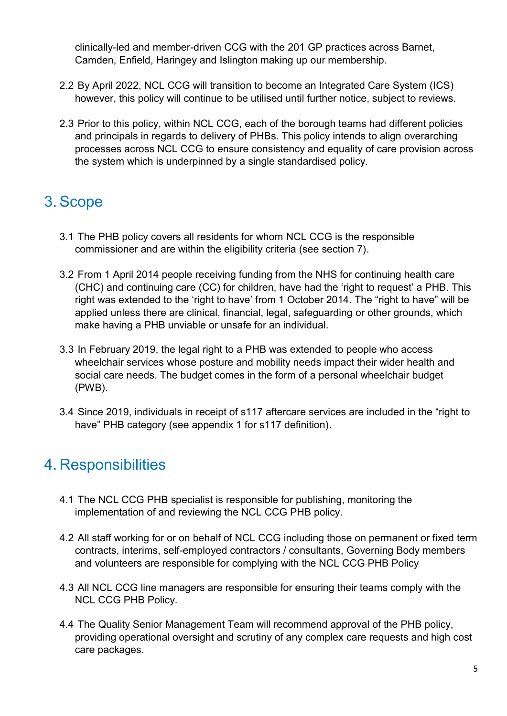clinically-led and member-driven CCG with the 201 GP practices across Barnet, Camden, Enfield, Haringey and Islington making up our membership.

- 2.2 By April 2022, NCL CCG will transition to become an Integrated Care System (ICS) however, this policy will continue to be utilised until further notice, subject to reviews.
- 2.3 Prior to this policy, within NCL CCG, each of the borough teams had different policies and principals in regards to delivery of PHBs. This policy intends to align overarching processes across NCL CCG to ensure consistency and equality of care provision across the system which is underpinned by a single standardised policy.

## 3. Scope

- 3.1 The PHB policy covers all residents for whom NCL CCG is the responsible commissioner and are within the eligibility criteria (see section 7).
- 3.2 From 1 April 2014 people receiving funding from the NHS for continuing health care (CHC) and continuing care (CC) for children, have had the 'right to request' a PHB. This right was extended to the 'right to have' from 1 October 2014. The "right to have" will be applied unless there are clinical, financial, legal, safeguarding or other grounds, which make having a PHB unviable or unsafe for an individual.
- 3.3 In February 2019, the legal right to a PHB was extended to people who access wheelchair services whose posture and mobility needs impact their wider health and social care needs. The budget comes in the form of a personal wheelchair budget (PWB).
- 3.4 Since 2019, individuals in receipt of s117 aftercare services are included in the "right to have" PHB category (see appendix 1 for s117 definition).

#### 4. Responsibilities

- 4.1 The NCL CCG PHB specialist is responsible for publishing, monitoring the implementation of and reviewing the NCL CCG PHB policy.
- 4.2 All staff working for or on behalf of NCL CCG including those on permanent or fixed term contracts, interims, self-employed contractors / consultants, Governing Body members and volunteers are responsible for complying with the NCL CCG PHB Policy
- 4.3 All NCL CCG line managers are responsible for ensuring their teams comply with the NCL CCG PHB Policy.
- 4.4 The Quality Senior Management Team will recommend approval of the PHB policy, providing operational oversight and scrutiny of any complex care requests and high cost care packages.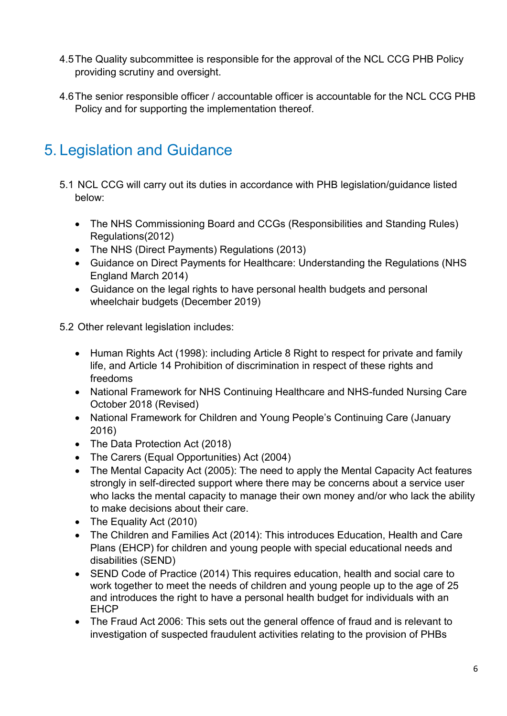- 4.5The Quality subcommittee is responsible for the approval of the NCL CCG PHB Policy providing scrutiny and oversight.
- 4.6The senior responsible officer / accountable officer is accountable for the NCL CCG PHB Policy and for supporting the implementation thereof.

## 5. Legislation and Guidance

- 5.1 NCL CCG will carry out its duties in accordance with PHB legislation/guidance listed below:
	- The NHS Commissioning Board and CCGs (Responsibilities and Standing Rules) Regulations(2012)
	- The NHS (Direct Payments) Regulations (2013)
	- Guidance on Direct Payments for Healthcare: Understanding the Regulations (NHS England March 2014)
	- Guidance on the legal rights to have personal health budgets and personal wheelchair budgets (December 2019)

5.2 Other relevant legislation includes:

- Human Rights Act (1998): including Article 8 Right to respect for private and family life, and Article 14 Prohibition of discrimination in respect of these rights and freedoms
- National Framework for NHS Continuing Healthcare and NHS-funded Nursing Care October 2018 (Revised)
- National Framework for Children and Young People's Continuing Care (January 2016)
- The Data Protection Act (2018)
- The Carers (Equal Opportunities) Act (2004)
- The Mental Capacity Act (2005): The need to apply the Mental Capacity Act features strongly in self-directed support where there may be concerns about a service user who lacks the mental capacity to manage their own money and/or who lack the ability to make decisions about their care.
- The Equality Act (2010)
- The Children and Families Act (2014): This introduces Education, Health and Care Plans (EHCP) for children and young people with special educational needs and disabilities (SEND)
- SEND Code of Practice (2014) This requires education, health and social care to work together to meet the needs of children and young people up to the age of 25 and introduces the right to have a personal health budget for individuals with an **FHCP**
- The Fraud Act 2006: This sets out the general offence of fraud and is relevant to investigation of suspected fraudulent activities relating to the provision of PHBs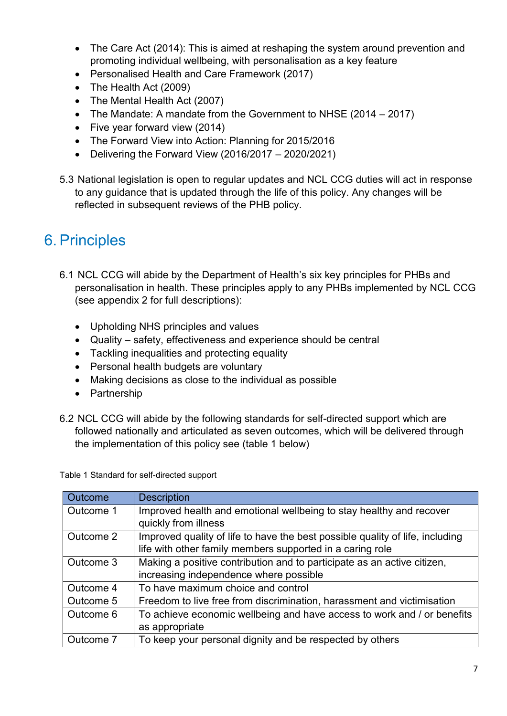- The Care Act (2014): This is aimed at reshaping the system around prevention and promoting individual wellbeing, with personalisation as a key feature
- Personalised Health and Care Framework (2017)
- The Health Act (2009)
- The Mental Health Act (2007)
- The Mandate: A mandate from the Government to NHSE (2014 2017)
- Five year forward view (2014)
- The Forward View into Action: Planning for 2015/2016
- $\bullet$  Delivering the Forward View (2016/2017 2020/2021)
- 5.3 National legislation is open to regular updates and NCL CCG duties will act in response to any guidance that is updated through the life of this policy. Any changes will be reflected in subsequent reviews of the PHB policy.

#### 6. Principles

- 6.1 NCL CCG will abide by the Department of Health's six key principles for PHBs and personalisation in health. These principles apply to any PHBs implemented by NCL CCG (see appendix 2 for full descriptions):
	- Upholding NHS principles and values
	- Quality safety, effectiveness and experience should be central
	- Tackling inequalities and protecting equality
	- Personal health budgets are voluntary
	- Making decisions as close to the individual as possible
	- Partnership
- 6.2 NCL CCG will abide by the following standards for self-directed support which are followed nationally and articulated as seven outcomes, which will be delivered through the implementation of this policy see (table 1 below)

Table 1 Standard for self-directed support

| Outcome   | <b>Description</b>                                                            |
|-----------|-------------------------------------------------------------------------------|
| Outcome 1 | Improved health and emotional wellbeing to stay healthy and recover           |
|           | quickly from illness                                                          |
| Outcome 2 | Improved quality of life to have the best possible quality of life, including |
|           | life with other family members supported in a caring role                     |
| Outcome 3 | Making a positive contribution and to participate as an active citizen,       |
|           | increasing independence where possible                                        |
| Outcome 4 | To have maximum choice and control                                            |
| Outcome 5 | Freedom to live free from discrimination, harassment and victimisation        |
| Outcome 6 | To achieve economic wellbeing and have access to work and / or benefits       |
|           | as appropriate                                                                |
| Outcome 7 | To keep your personal dignity and be respected by others                      |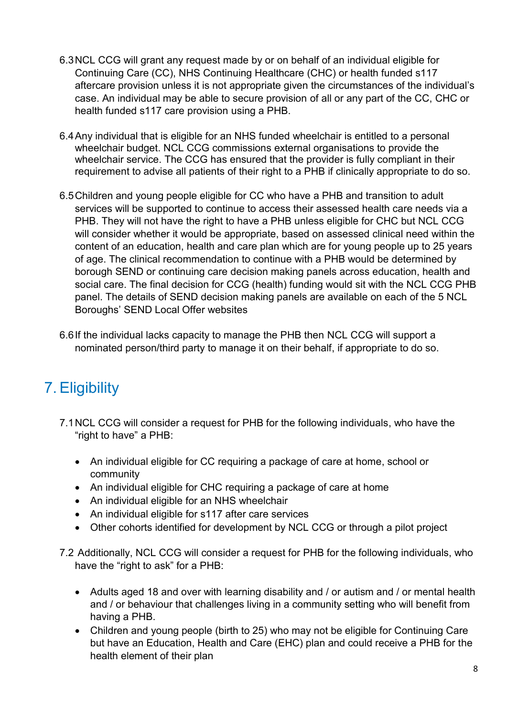- 6.3NCL CCG will grant any request made by or on behalf of an individual eligible for Continuing Care (CC), NHS Continuing Healthcare (CHC) or health funded s117 aftercare provision unless it is not appropriate given the circumstances of the individual's case. An individual may be able to secure provision of all or any part of the CC, CHC or health funded s117 care provision using a PHB.
- 6.4Any individual that is eligible for an NHS funded wheelchair is entitled to a personal wheelchair budget. NCL CCG commissions external organisations to provide the wheelchair service. The CCG has ensured that the provider is fully compliant in their requirement to advise all patients of their right to a PHB if clinically appropriate to do so.
- 6.5Children and young people eligible for CC who have a PHB and transition to adult services will be supported to continue to access their assessed health care needs via a PHB. They will not have the right to have a PHB unless eligible for CHC but NCL CCG will consider whether it would be appropriate, based on assessed clinical need within the content of an education, health and care plan which are for young people up to 25 years of age. The clinical recommendation to continue with a PHB would be determined by borough SEND or continuing care decision making panels across education, health and social care. The final decision for CCG (health) funding would sit with the NCL CCG PHB panel. The details of SEND decision making panels are available on each of the 5 NCL Boroughs' SEND Local Offer websites
- 6.6If the individual lacks capacity to manage the PHB then NCL CCG will support a nominated person/third party to manage it on their behalf, if appropriate to do so.

#### 7. Eligibility

- 7.1NCL CCG will consider a request for PHB for the following individuals, who have the "right to have" a PHB:
	- An individual eligible for CC requiring a package of care at home, school or community
	- An individual eligible for CHC requiring a package of care at home
	- An individual eligible for an NHS wheelchair
	- An individual eligible for s117 after care services
	- Other cohorts identified for development by NCL CCG or through a pilot project
- 7.2 Additionally, NCL CCG will consider a request for PHB for the following individuals, who have the "right to ask" for a PHB:
	- Adults aged 18 and over with learning disability and / or autism and / or mental health and / or behaviour that challenges living in a community setting who will benefit from having a PHB.
	- Children and young people (birth to 25) who may not be eligible for Continuing Care but have an Education, Health and Care (EHC) plan and could receive a PHB for the health element of their plan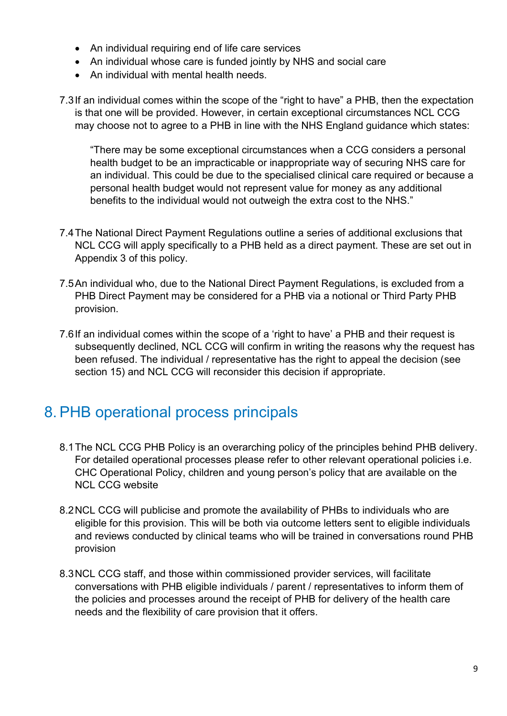- An individual requiring end of life care services
- An individual whose care is funded jointly by NHS and social care
- An individual with mental health needs.
- 7.3If an individual comes within the scope of the "right to have" a PHB, then the expectation is that one will be provided. However, in certain exceptional circumstances NCL CCG may choose not to agree to a PHB in line with the NHS England guidance which states:

"There may be some exceptional circumstances when a CCG considers a personal health budget to be an impracticable or inappropriate way of securing NHS care for an individual. This could be due to the specialised clinical care required or because a personal health budget would not represent value for money as any additional benefits to the individual would not outweigh the extra cost to the NHS."

- 7.4The National Direct Payment Regulations outline a series of additional exclusions that NCL CCG will apply specifically to a PHB held as a direct payment. These are set out in Appendix 3 of this policy.
- 7.5An individual who, due to the National Direct Payment Regulations, is excluded from a PHB Direct Payment may be considered for a PHB via a notional or Third Party PHB provision.
- 7.6If an individual comes within the scope of a 'right to have' a PHB and their request is subsequently declined, NCL CCG will confirm in writing the reasons why the request has been refused. The individual / representative has the right to appeal the decision (see section 15) and NCL CCG will reconsider this decision if appropriate.

#### 8. PHB operational process principals

- 8.1The NCL CCG PHB Policy is an overarching policy of the principles behind PHB delivery. For detailed operational processes please refer to other relevant operational policies i.e. CHC Operational Policy, children and young person's policy that are available on the NCL CCG website
- 8.2NCL CCG will publicise and promote the availability of PHBs to individuals who are eligible for this provision. This will be both via outcome letters sent to eligible individuals and reviews conducted by clinical teams who will be trained in conversations round PHB provision
- 8.3NCL CCG staff, and those within commissioned provider services, will facilitate conversations with PHB eligible individuals / parent / representatives to inform them of the policies and processes around the receipt of PHB for delivery of the health care needs and the flexibility of care provision that it offers.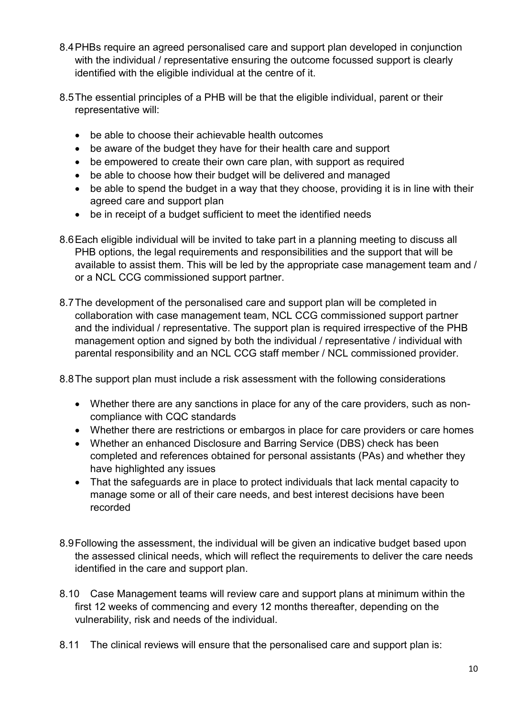- 8.4PHBs require an agreed personalised care and support plan developed in conjunction with the individual / representative ensuring the outcome focussed support is clearly identified with the eligible individual at the centre of it.
- 8.5The essential principles of a PHB will be that the eligible individual, parent or their representative will:
	- be able to choose their achievable health outcomes
	- be aware of the budget they have for their health care and support
	- be empowered to create their own care plan, with support as required
	- be able to choose how their budget will be delivered and managed
	- be able to spend the budget in a way that they choose, providing it is in line with their agreed care and support plan
	- be in receipt of a budget sufficient to meet the identified needs
- 8.6Each eligible individual will be invited to take part in a planning meeting to discuss all PHB options, the legal requirements and responsibilities and the support that will be available to assist them. This will be led by the appropriate case management team and / or a NCL CCG commissioned support partner.
- 8.7The development of the personalised care and support plan will be completed in collaboration with case management team, NCL CCG commissioned support partner and the individual / representative. The support plan is required irrespective of the PHB management option and signed by both the individual / representative / individual with parental responsibility and an NCL CCG staff member / NCL commissioned provider.

8.8The support plan must include a risk assessment with the following considerations

- Whether there are any sanctions in place for any of the care providers, such as noncompliance with CQC standards
- Whether there are restrictions or embargos in place for care providers or care homes
- Whether an enhanced Disclosure and Barring Service (DBS) check has been completed and references obtained for personal assistants (PAs) and whether they have highlighted any issues
- That the safeguards are in place to protect individuals that lack mental capacity to manage some or all of their care needs, and best interest decisions have been recorded
- 8.9Following the assessment, the individual will be given an indicative budget based upon the assessed clinical needs, which will reflect the requirements to deliver the care needs identified in the care and support plan.
- 8.10 Case Management teams will review care and support plans at minimum within the first 12 weeks of commencing and every 12 months thereafter, depending on the vulnerability, risk and needs of the individual.
- 8.11 The clinical reviews will ensure that the personalised care and support plan is: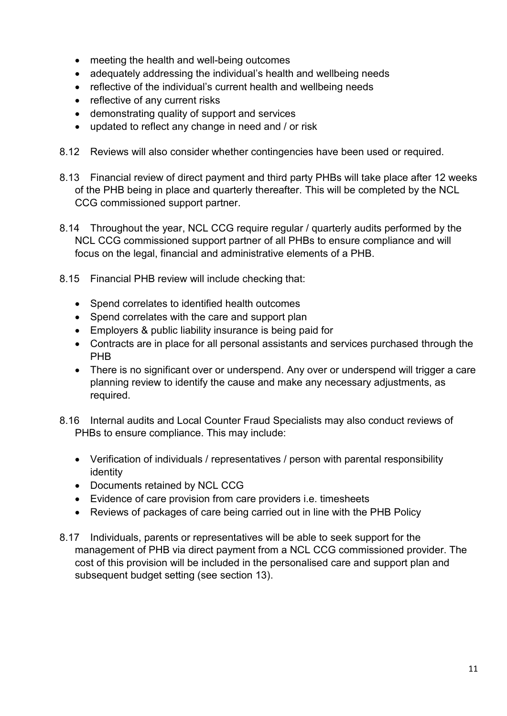- meeting the health and well-being outcomes
- adequately addressing the individual's health and wellbeing needs
- reflective of the individual's current health and wellbeing needs
- reflective of any current risks
- demonstrating quality of support and services
- updated to reflect any change in need and / or risk
- 8.12 Reviews will also consider whether contingencies have been used or required.
- 8.13 Financial review of direct payment and third party PHBs will take place after 12 weeks of the PHB being in place and quarterly thereafter. This will be completed by the NCL CCG commissioned support partner.
- 8.14 Throughout the year, NCL CCG require regular / quarterly audits performed by the NCL CCG commissioned support partner of all PHBs to ensure compliance and will focus on the legal, financial and administrative elements of a PHB.
- 8.15 Financial PHB review will include checking that:
	- Spend correlates to identified health outcomes
	- Spend correlates with the care and support plan
	- Employers & public liability insurance is being paid for
	- Contracts are in place for all personal assistants and services purchased through the PHB
	- There is no significant over or underspend. Any over or underspend will trigger a care planning review to identify the cause and make any necessary adjustments, as required.
- 8.16 Internal audits and Local Counter Fraud Specialists may also conduct reviews of PHBs to ensure compliance. This may include:
	- Verification of individuals / representatives / person with parental responsibility identity
	- Documents retained by NCL CCG
	- Evidence of care provision from care providers i.e. timesheets
	- Reviews of packages of care being carried out in line with the PHB Policy
- 8.17 Individuals, parents or representatives will be able to seek support for the management of PHB via direct payment from a NCL CCG commissioned provider. The cost of this provision will be included in the personalised care and support plan and subsequent budget setting (see section 13).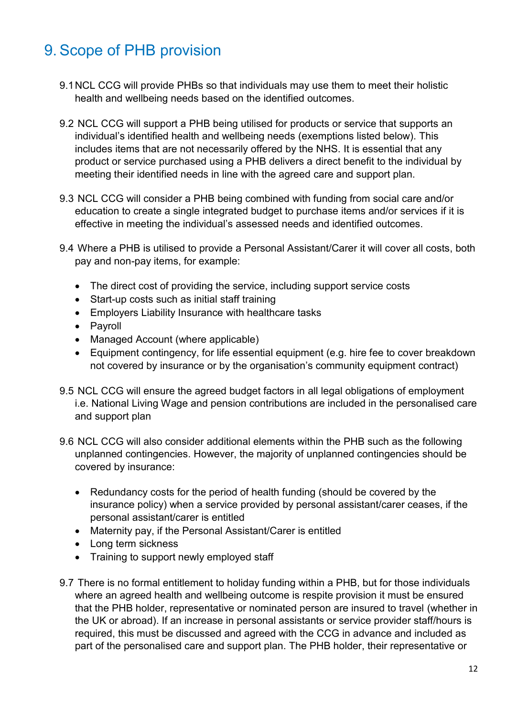## 9. Scope of PHB provision

- 9.1NCL CCG will provide PHBs so that individuals may use them to meet their holistic health and wellbeing needs based on the identified outcomes.
- 9.2 NCL CCG will support a PHB being utilised for products or service that supports an individual's identified health and wellbeing needs (exemptions listed below). This includes items that are not necessarily offered by the NHS. It is essential that any product or service purchased using a PHB delivers a direct benefit to the individual by meeting their identified needs in line with the agreed care and support plan.
- 9.3 NCL CCG will consider a PHB being combined with funding from social care and/or education to create a single integrated budget to purchase items and/or services if it is effective in meeting the individual's assessed needs and identified outcomes.
- 9.4 Where a PHB is utilised to provide a Personal Assistant/Carer it will cover all costs, both pay and non-pay items, for example:
	- The direct cost of providing the service, including support service costs
	- Start-up costs such as initial staff training
	- Employers Liability Insurance with healthcare tasks
	- Payroll
	- Managed Account (where applicable)
	- Equipment contingency, for life essential equipment (e.g. hire fee to cover breakdown not covered by insurance or by the organisation's community equipment contract)
- 9.5 NCL CCG will ensure the agreed budget factors in all legal obligations of employment i.e. National Living Wage and pension contributions are included in the personalised care and support plan
- 9.6 NCL CCG will also consider additional elements within the PHB such as the following unplanned contingencies. However, the majority of unplanned contingencies should be covered by insurance:
	- Redundancy costs for the period of health funding (should be covered by the insurance policy) when a service provided by personal assistant/carer ceases, if the personal assistant/carer is entitled
	- Maternity pay, if the Personal Assistant/Carer is entitled
	- Long term sickness
	- Training to support newly employed staff
- 9.7 There is no formal entitlement to holiday funding within a PHB, but for those individuals where an agreed health and wellbeing outcome is respite provision it must be ensured that the PHB holder, representative or nominated person are insured to travel (whether in the UK or abroad). If an increase in personal assistants or service provider staff/hours is required, this must be discussed and agreed with the CCG in advance and included as part of the personalised care and support plan. The PHB holder, their representative or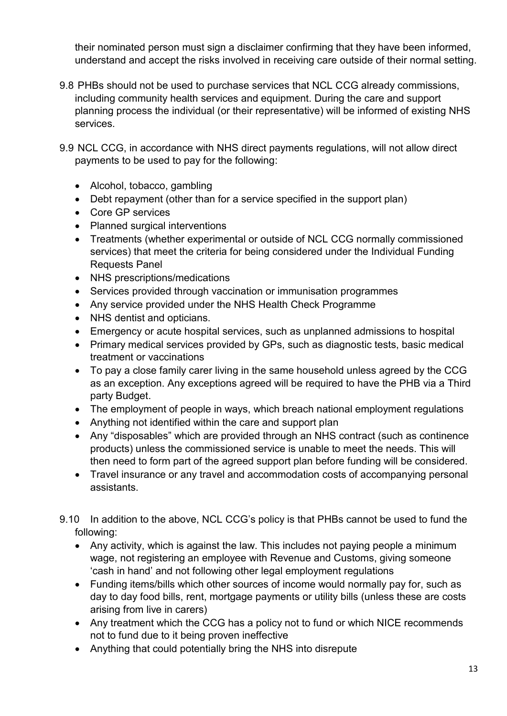their nominated person must sign a disclaimer confirming that they have been informed, understand and accept the risks involved in receiving care outside of their normal setting.

- 9.8 PHBs should not be used to purchase services that NCL CCG already commissions, including community health services and equipment. During the care and support planning process the individual (or their representative) will be informed of existing NHS services.
- 9.9 NCL CCG, in accordance with NHS direct payments regulations, will not allow direct payments to be used to pay for the following:
	- Alcohol, tobacco, gambling
	- Debt repayment (other than for a service specified in the support plan)
	- Core GP services
	- Planned surgical interventions
	- Treatments (whether experimental or outside of NCL CCG normally commissioned services) that meet the criteria for being considered under the Individual Funding Requests Panel
	- NHS prescriptions/medications
	- Services provided through vaccination or immunisation programmes
	- Any service provided under the NHS Health Check Programme
	- NHS dentist and opticians.
	- Emergency or acute hospital services, such as unplanned admissions to hospital
	- Primary medical services provided by GPs, such as diagnostic tests, basic medical treatment or vaccinations
	- To pay a close family carer living in the same household unless agreed by the CCG as an exception. Any exceptions agreed will be required to have the PHB via a Third party Budget.
	- The employment of people in ways, which breach national employment regulations
	- Anything not identified within the care and support plan
	- Any "disposables" which are provided through an NHS contract (such as continence products) unless the commissioned service is unable to meet the needs. This will then need to form part of the agreed support plan before funding will be considered.
	- Travel insurance or any travel and accommodation costs of accompanying personal assistants.
- 9.10 In addition to the above, NCL CCG's policy is that PHBs cannot be used to fund the following:
	- Any activity, which is against the law. This includes not paying people a minimum wage, not registering an employee with Revenue and Customs, giving someone 'cash in hand' and not following other legal employment regulations
	- Funding items/bills which other sources of income would normally pay for, such as day to day food bills, rent, mortgage payments or utility bills (unless these are costs arising from live in carers)
	- Any treatment which the CCG has a policy not to fund or which NICE recommends not to fund due to it being proven ineffective
	- Anything that could potentially bring the NHS into disrepute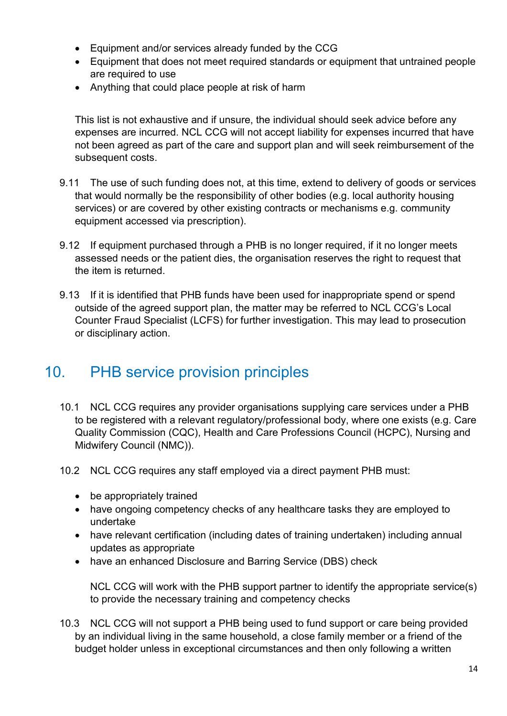- Equipment and/or services already funded by the CCG
- Equipment that does not meet required standards or equipment that untrained people are required to use
- Anything that could place people at risk of harm

This list is not exhaustive and if unsure, the individual should seek advice before any expenses are incurred. NCL CCG will not accept liability for expenses incurred that have not been agreed as part of the care and support plan and will seek reimbursement of the subsequent costs.

- 9.11 The use of such funding does not, at this time, extend to delivery of goods or services that would normally be the responsibility of other bodies (e.g. local authority housing services) or are covered by other existing contracts or mechanisms e.g. community equipment accessed via prescription).
- 9.12 If equipment purchased through a PHB is no longer required, if it no longer meets assessed needs or the patient dies, the organisation reserves the right to request that the item is returned.
- 9.13 If it is identified that PHB funds have been used for inappropriate spend or spend outside of the agreed support plan, the matter may be referred to NCL CCG's Local Counter Fraud Specialist (LCFS) for further investigation. This may lead to prosecution or disciplinary action.

#### 10. PHB service provision principles

- 10.1 NCL CCG requires any provider organisations supplying care services under a PHB to be registered with a relevant regulatory/professional body, where one exists (e.g. Care Quality Commission (CQC), Health and Care Professions Council (HCPC), Nursing and Midwifery Council (NMC)).
- 10.2 NCL CCG requires any staff employed via a direct payment PHB must:
	- be appropriately trained
	- have ongoing competency checks of any healthcare tasks they are employed to undertake
	- have relevant certification (including dates of training undertaken) including annual updates as appropriate
	- have an enhanced Disclosure and Barring Service (DBS) check

NCL CCG will work with the PHB support partner to identify the appropriate service(s) to provide the necessary training and competency checks

10.3 NCL CCG will not support a PHB being used to fund support or care being provided by an individual living in the same household, a close family member or a friend of the budget holder unless in exceptional circumstances and then only following a written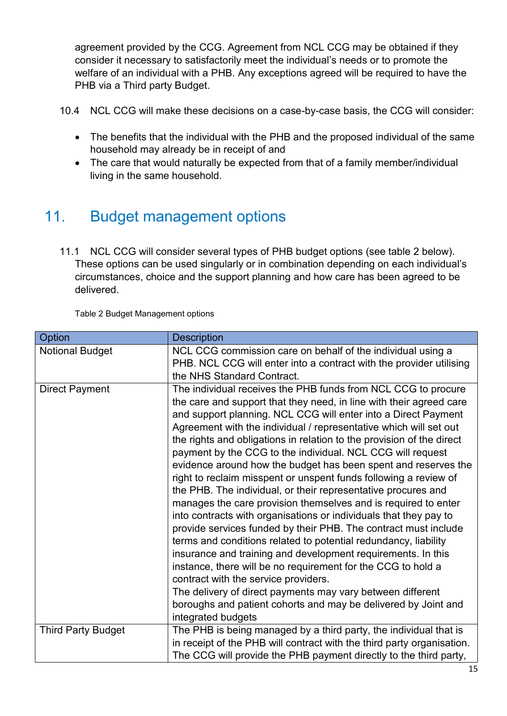agreement provided by the CCG. Agreement from NCL CCG may be obtained if they consider it necessary to satisfactorily meet the individual's needs or to promote the welfare of an individual with a PHB. Any exceptions agreed will be required to have the PHB via a Third party Budget.

10.4 NCL CCG will make these decisions on a case-by-case basis, the CCG will consider:

- The benefits that the individual with the PHB and the proposed individual of the same household may already be in receipt of and
- The care that would naturally be expected from that of a family member/individual living in the same household.

## 11. Budget management options

11.1 NCL CCG will consider several types of PHB budget options (see table 2 below). These options can be used singularly or in combination depending on each individual's circumstances, choice and the support planning and how care has been agreed to be delivered.

Table 2 Budget Management options

| Option                    | <b>Description</b>                                                                                                                                                                                                                                                                                                                                                                                                                                                                                                                                                                                                                                                                                                                                                                                                                                                                                                                                                                                                                                                                                                                                                                                                                   |
|---------------------------|--------------------------------------------------------------------------------------------------------------------------------------------------------------------------------------------------------------------------------------------------------------------------------------------------------------------------------------------------------------------------------------------------------------------------------------------------------------------------------------------------------------------------------------------------------------------------------------------------------------------------------------------------------------------------------------------------------------------------------------------------------------------------------------------------------------------------------------------------------------------------------------------------------------------------------------------------------------------------------------------------------------------------------------------------------------------------------------------------------------------------------------------------------------------------------------------------------------------------------------|
| <b>Notional Budget</b>    | NCL CCG commission care on behalf of the individual using a<br>PHB. NCL CCG will enter into a contract with the provider utilising<br>the NHS Standard Contract.                                                                                                                                                                                                                                                                                                                                                                                                                                                                                                                                                                                                                                                                                                                                                                                                                                                                                                                                                                                                                                                                     |
| <b>Direct Payment</b>     | The individual receives the PHB funds from NCL CCG to procure<br>the care and support that they need, in line with their agreed care<br>and support planning. NCL CCG will enter into a Direct Payment<br>Agreement with the individual / representative which will set out<br>the rights and obligations in relation to the provision of the direct<br>payment by the CCG to the individual. NCL CCG will request<br>evidence around how the budget has been spent and reserves the<br>right to reclaim misspent or unspent funds following a review of<br>the PHB. The individual, or their representative procures and<br>manages the care provision themselves and is required to enter<br>into contracts with organisations or individuals that they pay to<br>provide services funded by their PHB. The contract must include<br>terms and conditions related to potential redundancy, liability<br>insurance and training and development requirements. In this<br>instance, there will be no requirement for the CCG to hold a<br>contract with the service providers.<br>The delivery of direct payments may vary between different<br>boroughs and patient cohorts and may be delivered by Joint and<br>integrated budgets |
| <b>Third Party Budget</b> | The PHB is being managed by a third party, the individual that is<br>in receipt of the PHB will contract with the third party organisation.<br>The CCG will provide the PHB payment directly to the third party,                                                                                                                                                                                                                                                                                                                                                                                                                                                                                                                                                                                                                                                                                                                                                                                                                                                                                                                                                                                                                     |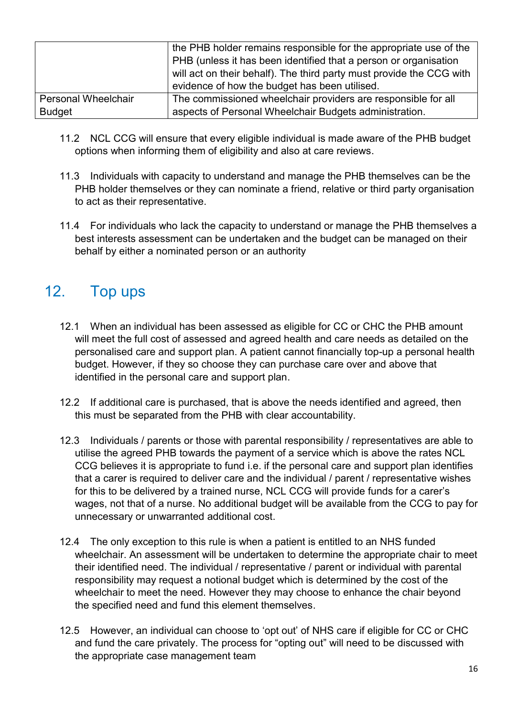|                     | the PHB holder remains responsible for the appropriate use of the    |
|---------------------|----------------------------------------------------------------------|
|                     | PHB (unless it has been identified that a person or organisation     |
|                     | will act on their behalf). The third party must provide the CCG with |
|                     | evidence of how the budget has been utilised.                        |
| Personal Wheelchair | The commissioned wheelchair providers are responsible for all        |
| <b>Budget</b>       | aspects of Personal Wheelchair Budgets administration.               |

- 11.2 NCL CCG will ensure that every eligible individual is made aware of the PHB budget options when informing them of eligibility and also at care reviews.
- 11.3 Individuals with capacity to understand and manage the PHB themselves can be the PHB holder themselves or they can nominate a friend, relative or third party organisation to act as their representative.
- 11.4 For individuals who lack the capacity to understand or manage the PHB themselves a best interests assessment can be undertaken and the budget can be managed on their behalf by either a nominated person or an authority

#### 12. Top ups

- 12.1 When an individual has been assessed as eligible for CC or CHC the PHB amount will meet the full cost of assessed and agreed health and care needs as detailed on the personalised care and support plan. A patient cannot financially top-up a personal health budget. However, if they so choose they can purchase care over and above that identified in the personal care and support plan.
- 12.2 If additional care is purchased, that is above the needs identified and agreed, then this must be separated from the PHB with clear accountability.
- 12.3 Individuals / parents or those with parental responsibility / representatives are able to utilise the agreed PHB towards the payment of a service which is above the rates NCL CCG believes it is appropriate to fund i.e. if the personal care and support plan identifies that a carer is required to deliver care and the individual / parent / representative wishes for this to be delivered by a trained nurse, NCL CCG will provide funds for a carer's wages, not that of a nurse. No additional budget will be available from the CCG to pay for unnecessary or unwarranted additional cost.
- 12.4 The only exception to this rule is when a patient is entitled to an NHS funded wheelchair. An assessment will be undertaken to determine the appropriate chair to meet their identified need. The individual / representative / parent or individual with parental responsibility may request a notional budget which is determined by the cost of the wheelchair to meet the need. However they may choose to enhance the chair beyond the specified need and fund this element themselves.
- 12.5 However, an individual can choose to 'opt out' of NHS care if eligible for CC or CHC and fund the care privately. The process for "opting out" will need to be discussed with the appropriate case management team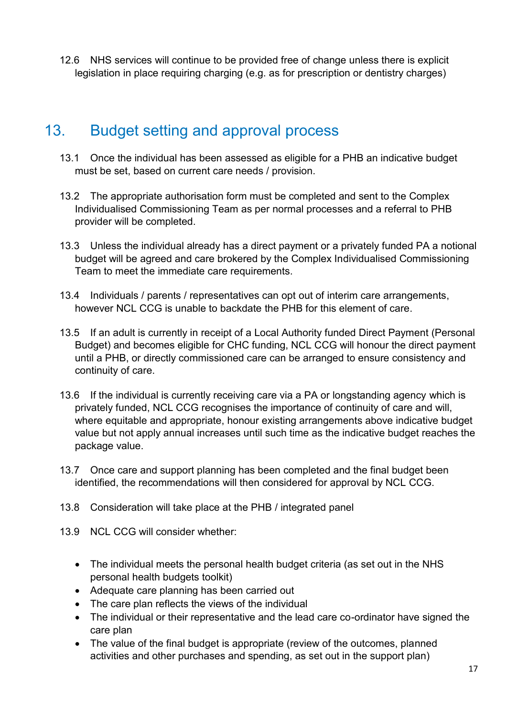12.6 NHS services will continue to be provided free of change unless there is explicit legislation in place requiring charging (e.g. as for prescription or dentistry charges)

#### 13. Budget setting and approval process

- 13.1 Once the individual has been assessed as eligible for a PHB an indicative budget must be set, based on current care needs / provision.
- 13.2 The appropriate authorisation form must be completed and sent to the Complex Individualised Commissioning Team as per normal processes and a referral to PHB provider will be completed.
- 13.3 Unless the individual already has a direct payment or a privately funded PA a notional budget will be agreed and care brokered by the Complex Individualised Commissioning Team to meet the immediate care requirements.
- 13.4 Individuals / parents / representatives can opt out of interim care arrangements, however NCL CCG is unable to backdate the PHB for this element of care.
- 13.5 If an adult is currently in receipt of a Local Authority funded Direct Payment (Personal Budget) and becomes eligible for CHC funding, NCL CCG will honour the direct payment until a PHB, or directly commissioned care can be arranged to ensure consistency and continuity of care.
- 13.6 If the individual is currently receiving care via a PA or longstanding agency which is privately funded, NCL CCG recognises the importance of continuity of care and will, where equitable and appropriate, honour existing arrangements above indicative budget value but not apply annual increases until such time as the indicative budget reaches the package value.
- 13.7 Once care and support planning has been completed and the final budget been identified, the recommendations will then considered for approval by NCL CCG.
- 13.8 Consideration will take place at the PHB / integrated panel
- 13.9 NCL CCG will consider whether:
	- The individual meets the personal health budget criteria (as set out in the NHS personal health budgets toolkit)
	- Adequate care planning has been carried out
	- The care plan reflects the views of the individual
	- The individual or their representative and the lead care co-ordinator have signed the care plan
	- The value of the final budget is appropriate (review of the outcomes, planned activities and other purchases and spending, as set out in the support plan)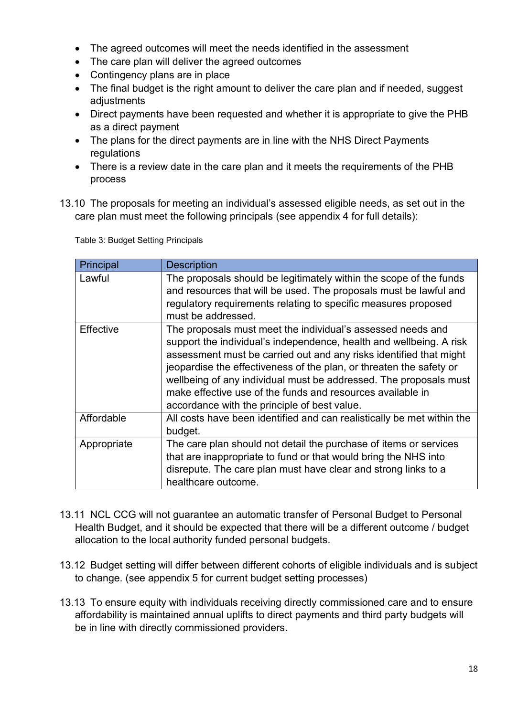- The agreed outcomes will meet the needs identified in the assessment
- The care plan will deliver the agreed outcomes
- Contingency plans are in place
- The final budget is the right amount to deliver the care plan and if needed, suggest adjustments
- Direct payments have been requested and whether it is appropriate to give the PHB as a direct payment
- The plans for the direct payments are in line with the NHS Direct Payments regulations
- There is a review date in the care plan and it meets the requirements of the PHB process
- 13.10 The proposals for meeting an individual's assessed eligible needs, as set out in the care plan must meet the following principals (see appendix 4 for full details):

| Principal   | <b>Description</b>                                                                                                                                                                                                                                                                                                                                                                                                                                                 |
|-------------|--------------------------------------------------------------------------------------------------------------------------------------------------------------------------------------------------------------------------------------------------------------------------------------------------------------------------------------------------------------------------------------------------------------------------------------------------------------------|
| Lawful      | The proposals should be legitimately within the scope of the funds<br>and resources that will be used. The proposals must be lawful and<br>regulatory requirements relating to specific measures proposed<br>must be addressed.                                                                                                                                                                                                                                    |
| Effective   | The proposals must meet the individual's assessed needs and<br>support the individual's independence, health and wellbeing. A risk<br>assessment must be carried out and any risks identified that might<br>jeopardise the effectiveness of the plan, or threaten the safety or<br>wellbeing of any individual must be addressed. The proposals must<br>make effective use of the funds and resources available in<br>accordance with the principle of best value. |
| Affordable  | All costs have been identified and can realistically be met within the<br>budget.                                                                                                                                                                                                                                                                                                                                                                                  |
| Appropriate | The care plan should not detail the purchase of items or services<br>that are inappropriate to fund or that would bring the NHS into<br>disrepute. The care plan must have clear and strong links to a<br>healthcare outcome.                                                                                                                                                                                                                                      |

Table 3: Budget Setting Principals

- 13.11 NCL CCG will not guarantee an automatic transfer of Personal Budget to Personal Health Budget, and it should be expected that there will be a different outcome / budget allocation to the local authority funded personal budgets.
- 13.12 Budget setting will differ between different cohorts of eligible individuals and is subject to change. (see appendix 5 for current budget setting processes)
- 13.13 To ensure equity with individuals receiving directly commissioned care and to ensure affordability is maintained annual uplifts to direct payments and third party budgets will be in line with directly commissioned providers.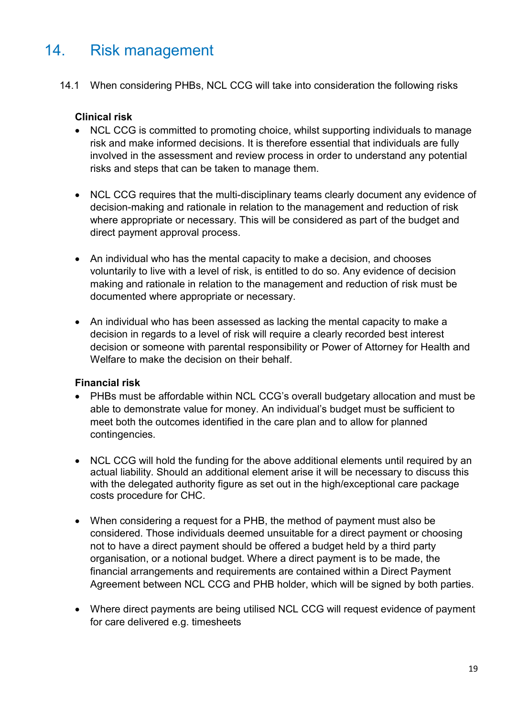#### 14. Risk management

14.1 When considering PHBs, NCL CCG will take into consideration the following risks

#### **Clinical risk**

- NCL CCG is committed to promoting choice, whilst supporting individuals to manage risk and make informed decisions. It is therefore essential that individuals are fully involved in the assessment and review process in order to understand any potential risks and steps that can be taken to manage them.
- NCL CCG requires that the multi-disciplinary teams clearly document any evidence of decision-making and rationale in relation to the management and reduction of risk where appropriate or necessary. This will be considered as part of the budget and direct payment approval process.
- An individual who has the mental capacity to make a decision, and chooses voluntarily to live with a level of risk, is entitled to do so. Any evidence of decision making and rationale in relation to the management and reduction of risk must be documented where appropriate or necessary.
- An individual who has been assessed as lacking the mental capacity to make a decision in regards to a level of risk will require a clearly recorded best interest decision or someone with parental responsibility or Power of Attorney for Health and Welfare to make the decision on their behalf.

#### **Financial risk**

- PHBs must be affordable within NCL CCG's overall budgetary allocation and must be able to demonstrate value for money. An individual's budget must be sufficient to meet both the outcomes identified in the care plan and to allow for planned contingencies.
- NCL CCG will hold the funding for the above additional elements until required by an actual liability. Should an additional element arise it will be necessary to discuss this with the delegated authority figure as set out in the high/exceptional care package costs procedure for CHC.
- When considering a request for a PHB, the method of payment must also be considered. Those individuals deemed unsuitable for a direct payment or choosing not to have a direct payment should be offered a budget held by a third party organisation, or a notional budget. Where a direct payment is to be made, the financial arrangements and requirements are contained within a Direct Payment Agreement between NCL CCG and PHB holder, which will be signed by both parties.
- Where direct payments are being utilised NCL CCG will request evidence of payment for care delivered e.g. timesheets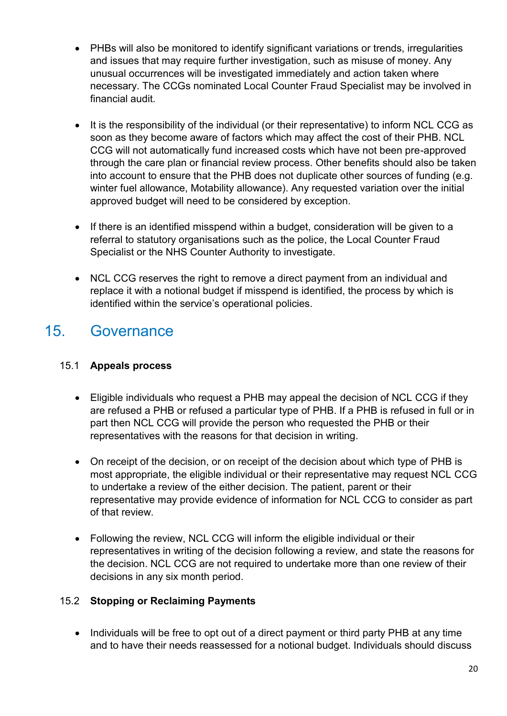- PHBs will also be monitored to identify significant variations or trends, irregularities and issues that may require further investigation, such as misuse of money. Any unusual occurrences will be investigated immediately and action taken where necessary. The CCGs nominated Local Counter Fraud Specialist may be involved in financial audit.
- It is the responsibility of the individual (or their representative) to inform NCL CCG as soon as they become aware of factors which may affect the cost of their PHB. NCL CCG will not automatically fund increased costs which have not been pre-approved through the care plan or financial review process. Other benefits should also be taken into account to ensure that the PHB does not duplicate other sources of funding (e.g. winter fuel allowance, Motability allowance). Any requested variation over the initial approved budget will need to be considered by exception.
- If there is an identified misspend within a budget, consideration will be given to a referral to statutory organisations such as the police, the Local Counter Fraud Specialist or the NHS Counter Authority to investigate.
- NCL CCG reserves the right to remove a direct payment from an individual and replace it with a notional budget if misspend is identified, the process by which is identified within the service's operational policies.

#### 15. Governance

#### 15.1 **Appeals process**

- Eligible individuals who request a PHB may appeal the decision of NCL CCG if they are refused a PHB or refused a particular type of PHB. If a PHB is refused in full or in part then NCL CCG will provide the person who requested the PHB or their representatives with the reasons for that decision in writing.
- On receipt of the decision, or on receipt of the decision about which type of PHB is most appropriate, the eligible individual or their representative may request NCL CCG to undertake a review of the either decision. The patient, parent or their representative may provide evidence of information for NCL CCG to consider as part of that review.
- Following the review, NCL CCG will inform the eligible individual or their representatives in writing of the decision following a review, and state the reasons for the decision. NCL CCG are not required to undertake more than one review of their decisions in any six month period.

#### 15.2 **Stopping or Reclaiming Payments**

• Individuals will be free to opt out of a direct payment or third party PHB at any time and to have their needs reassessed for a notional budget. Individuals should discuss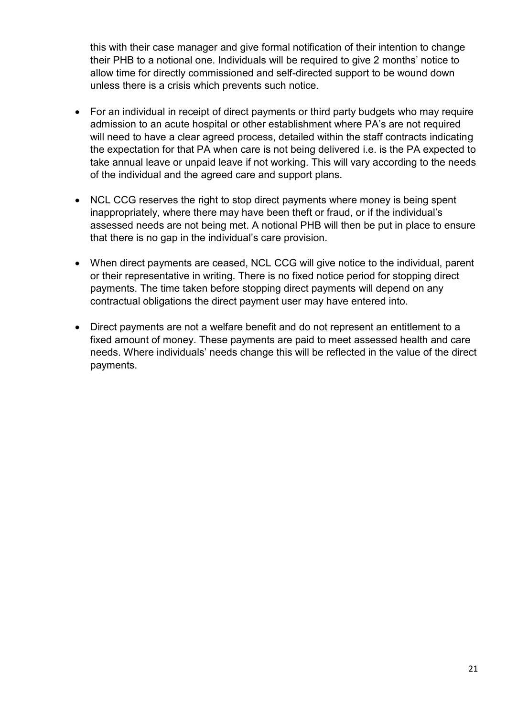this with their case manager and give formal notification of their intention to change their PHB to a notional one. Individuals will be required to give 2 months' notice to allow time for directly commissioned and self-directed support to be wound down unless there is a crisis which prevents such notice.

- For an individual in receipt of direct payments or third party budgets who may require admission to an acute hospital or other establishment where PA's are not required will need to have a clear agreed process, detailed within the staff contracts indicating the expectation for that PA when care is not being delivered i.e. is the PA expected to take annual leave or unpaid leave if not working. This will vary according to the needs of the individual and the agreed care and support plans.
- NCL CCG reserves the right to stop direct payments where money is being spent inappropriately, where there may have been theft or fraud, or if the individual's assessed needs are not being met. A notional PHB will then be put in place to ensure that there is no gap in the individual's care provision.
- When direct payments are ceased, NCL CCG will give notice to the individual, parent or their representative in writing. There is no fixed notice period for stopping direct payments. The time taken before stopping direct payments will depend on any contractual obligations the direct payment user may have entered into.
- Direct payments are not a welfare benefit and do not represent an entitlement to a fixed amount of money. These payments are paid to meet assessed health and care needs. Where individuals' needs change this will be reflected in the value of the direct payments.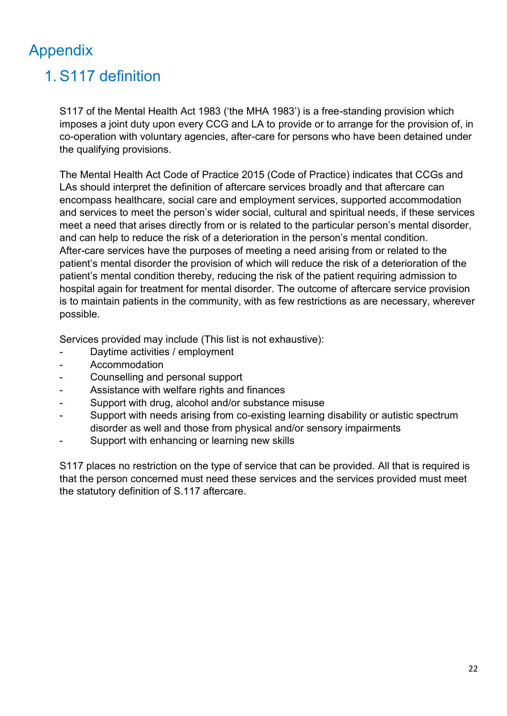## Appendix

## 1. S117 definition

S117 of the Mental Health Act 1983 ('the MHA 1983') is a free-standing provision which imposes a joint duty upon every CCG and LA to provide or to arrange for the provision of, in co-operation with voluntary agencies, after-care for persons who have been detained under the qualifying provisions.

The Mental Health Act Code of Practice 2015 (Code of Practice) indicates that CCGs and LAs should interpret the definition of aftercare services broadly and that aftercare can encompass healthcare, social care and employment services, supported accommodation and services to meet the person's wider social, cultural and spiritual needs, if these services meet a need that arises directly from or is related to the particular person's mental disorder, and can help to reduce the risk of a deterioration in the person's mental condition. After-care services have the purposes of meeting a need arising from or related to the patient's mental disorder the provision of which will reduce the risk of a deterioration of the patient's mental condition thereby, reducing the risk of the patient requiring admission to hospital again for treatment for mental disorder. The outcome of aftercare service provision is to maintain patients in the community, with as few restrictions as are necessary, wherever possible.

Services provided may include (This list is not exhaustive):

- Daytime activities / employment
- **Accommodation**
- Counselling and personal support
- Assistance with welfare rights and finances
- Support with drug, alcohol and/or substance misuse
- Support with needs arising from co-existing learning disability or autistic spectrum disorder as well and those from physical and/or sensory impairments
- Support with enhancing or learning new skills

S117 places no restriction on the type of service that can be provided. All that is required is that the person concerned must need these services and the services provided must meet the statutory definition of S.117 aftercare.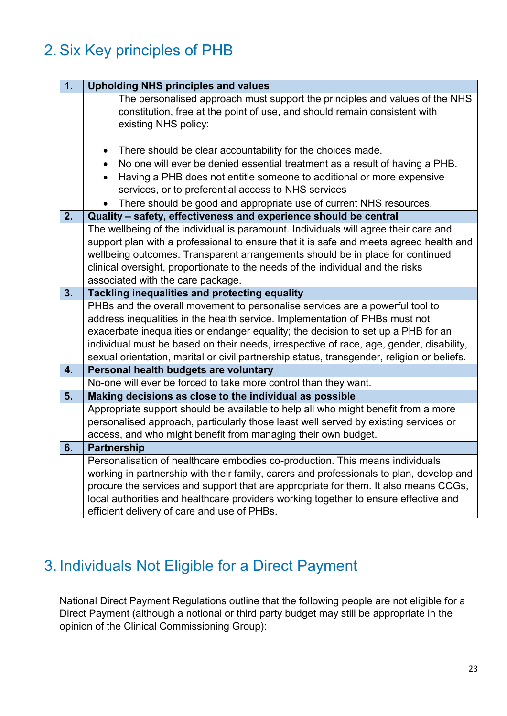### 2. Six Key principles of PHB

| 1. | <b>Upholding NHS principles and values</b>                                                                                                                                                                                                                                                                                                                                                                                                                 |
|----|------------------------------------------------------------------------------------------------------------------------------------------------------------------------------------------------------------------------------------------------------------------------------------------------------------------------------------------------------------------------------------------------------------------------------------------------------------|
|    | The personalised approach must support the principles and values of the NHS<br>constitution, free at the point of use, and should remain consistent with<br>existing NHS policy:                                                                                                                                                                                                                                                                           |
| 2. | There should be clear accountability for the choices made.<br>$\bullet$<br>No one will ever be denied essential treatment as a result of having a PHB.<br>$\bullet$<br>Having a PHB does not entitle someone to additional or more expensive<br>$\bullet$<br>services, or to preferential access to NHS services<br>There should be good and appropriate use of current NHS resources.<br>Quality - safety, effectiveness and experience should be central |
|    | The wellbeing of the individual is paramount. Individuals will agree their care and                                                                                                                                                                                                                                                                                                                                                                        |
|    | support plan with a professional to ensure that it is safe and meets agreed health and<br>wellbeing outcomes. Transparent arrangements should be in place for continued<br>clinical oversight, proportionate to the needs of the individual and the risks<br>associated with the care package.                                                                                                                                                             |
| 3. | Tackling inequalities and protecting equality                                                                                                                                                                                                                                                                                                                                                                                                              |
|    | PHBs and the overall movement to personalise services are a powerful tool to<br>address inequalities in the health service. Implementation of PHBs must not<br>exacerbate inequalities or endanger equality; the decision to set up a PHB for an<br>individual must be based on their needs, irrespective of race, age, gender, disability,<br>sexual orientation, marital or civil partnership status, transgender, religion or beliefs.                  |
| 4. | Personal health budgets are voluntary                                                                                                                                                                                                                                                                                                                                                                                                                      |
|    | No-one will ever be forced to take more control than they want.                                                                                                                                                                                                                                                                                                                                                                                            |
| 5. | Making decisions as close to the individual as possible                                                                                                                                                                                                                                                                                                                                                                                                    |
|    | Appropriate support should be available to help all who might benefit from a more<br>personalised approach, particularly those least well served by existing services or<br>access, and who might benefit from managing their own budget.                                                                                                                                                                                                                  |
| 6. | <b>Partnership</b>                                                                                                                                                                                                                                                                                                                                                                                                                                         |
|    | Personalisation of healthcare embodies co-production. This means individuals<br>working in partnership with their family, carers and professionals to plan, develop and<br>procure the services and support that are appropriate for them. It also means CCGs,<br>local authorities and healthcare providers working together to ensure effective and<br>efficient delivery of care and use of PHBs.                                                       |

#### 3. Individuals Not Eligible for a Direct Payment

National Direct Payment Regulations outline that the following people are not eligible for a Direct Payment (although a notional or third party budget may still be appropriate in the opinion of the Clinical Commissioning Group):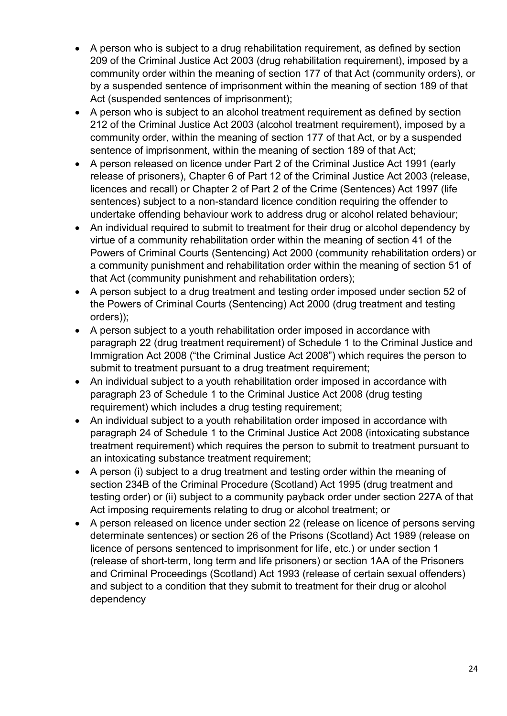- A person who is subject to a drug rehabilitation requirement, as defined by section 209 of the Criminal Justice Act 2003 (drug rehabilitation requirement), imposed by a community order within the meaning of section 177 of that Act (community orders), or by a suspended sentence of imprisonment within the meaning of section 189 of that Act (suspended sentences of imprisonment);
- A person who is subject to an alcohol treatment requirement as defined by section 212 of the Criminal Justice Act 2003 (alcohol treatment requirement), imposed by a community order, within the meaning of section 177 of that Act, or by a suspended sentence of imprisonment, within the meaning of section 189 of that Act;
- A person released on licence under Part 2 of the Criminal Justice Act 1991 (early release of prisoners), Chapter 6 of Part 12 of the Criminal Justice Act 2003 (release, licences and recall) or Chapter 2 of Part 2 of the Crime (Sentences) Act 1997 (life sentences) subject to a non-standard licence condition requiring the offender to undertake offending behaviour work to address drug or alcohol related behaviour;
- An individual required to submit to treatment for their drug or alcohol dependency by virtue of a community rehabilitation order within the meaning of section 41 of the Powers of Criminal Courts (Sentencing) Act 2000 (community rehabilitation orders) or a community punishment and rehabilitation order within the meaning of section 51 of that Act (community punishment and rehabilitation orders);
- A person subject to a drug treatment and testing order imposed under section 52 of the Powers of Criminal Courts (Sentencing) Act 2000 (drug treatment and testing orders));
- A person subject to a youth rehabilitation order imposed in accordance with paragraph 22 (drug treatment requirement) of Schedule 1 to the Criminal Justice and Immigration Act 2008 ("the Criminal Justice Act 2008") which requires the person to submit to treatment pursuant to a drug treatment requirement;
- An individual subject to a youth rehabilitation order imposed in accordance with paragraph 23 of Schedule 1 to the Criminal Justice Act 2008 (drug testing requirement) which includes a drug testing requirement;
- An individual subject to a youth rehabilitation order imposed in accordance with paragraph 24 of Schedule 1 to the Criminal Justice Act 2008 (intoxicating substance treatment requirement) which requires the person to submit to treatment pursuant to an intoxicating substance treatment requirement;
- A person (i) subject to a drug treatment and testing order within the meaning of section 234B of the Criminal Procedure (Scotland) Act 1995 (drug treatment and testing order) or (ii) subject to a community payback order under section 227A of that Act imposing requirements relating to drug or alcohol treatment; or
- A person released on licence under section 22 (release on licence of persons serving determinate sentences) or section 26 of the Prisons (Scotland) Act 1989 (release on licence of persons sentenced to imprisonment for life, etc.) or under section 1 (release of short-term, long term and life prisoners) or section 1AA of the Prisoners and Criminal Proceedings (Scotland) Act 1993 (release of certain sexual offenders) and subject to a condition that they submit to treatment for their drug or alcohol dependency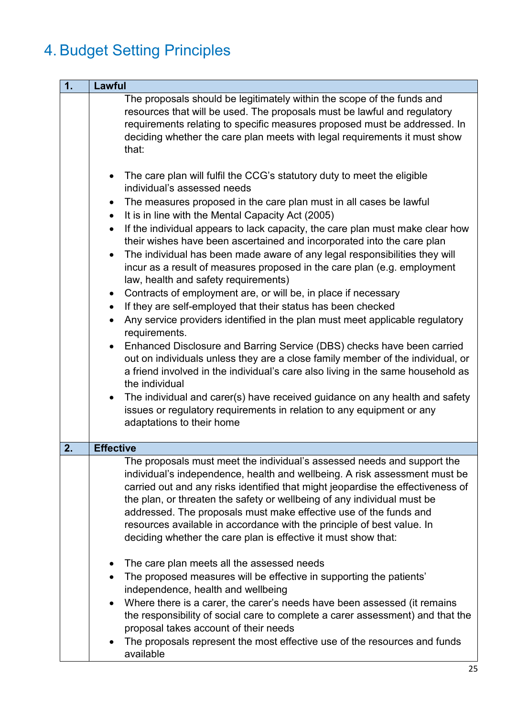## 4. Budget Setting Principles

| 1. | <b>Lawful</b>                                                                                                                                                                                                                                                                                                                                                                                                                                                                                                                                                                                                                                                                                                                                                                                                                                                                                                                                                                                                                                                                                                                                                                                                                                                                                                                                                                                                |
|----|--------------------------------------------------------------------------------------------------------------------------------------------------------------------------------------------------------------------------------------------------------------------------------------------------------------------------------------------------------------------------------------------------------------------------------------------------------------------------------------------------------------------------------------------------------------------------------------------------------------------------------------------------------------------------------------------------------------------------------------------------------------------------------------------------------------------------------------------------------------------------------------------------------------------------------------------------------------------------------------------------------------------------------------------------------------------------------------------------------------------------------------------------------------------------------------------------------------------------------------------------------------------------------------------------------------------------------------------------------------------------------------------------------------|
|    | The proposals should be legitimately within the scope of the funds and<br>resources that will be used. The proposals must be lawful and regulatory<br>requirements relating to specific measures proposed must be addressed. In<br>deciding whether the care plan meets with legal requirements it must show<br>that:                                                                                                                                                                                                                                                                                                                                                                                                                                                                                                                                                                                                                                                                                                                                                                                                                                                                                                                                                                                                                                                                                        |
|    | The care plan will fulfil the CCG's statutory duty to meet the eligible<br>$\bullet$<br>individual's assessed needs<br>The measures proposed in the care plan must in all cases be lawful<br>It is in line with the Mental Capacity Act (2005)<br>$\bullet$<br>If the individual appears to lack capacity, the care plan must make clear how<br>$\bullet$<br>their wishes have been ascertained and incorporated into the care plan<br>The individual has been made aware of any legal responsibilities they will<br>$\bullet$<br>incur as a result of measures proposed in the care plan (e.g. employment<br>law, health and safety requirements)<br>Contracts of employment are, or will be, in place if necessary<br>$\bullet$<br>If they are self-employed that their status has been checked<br>$\bullet$<br>Any service providers identified in the plan must meet applicable regulatory<br>$\bullet$<br>requirements.<br>Enhanced Disclosure and Barring Service (DBS) checks have been carried<br>$\bullet$<br>out on individuals unless they are a close family member of the individual, or<br>a friend involved in the individual's care also living in the same household as<br>the individual<br>The individual and carer(s) have received guidance on any health and safety<br>$\bullet$<br>issues or regulatory requirements in relation to any equipment or any<br>adaptations to their home |
| 2. | <b>Effective</b>                                                                                                                                                                                                                                                                                                                                                                                                                                                                                                                                                                                                                                                                                                                                                                                                                                                                                                                                                                                                                                                                                                                                                                                                                                                                                                                                                                                             |
|    | The proposals must meet the individual's assessed needs and support the<br>individual's independence, health and wellbeing. A risk assessment must be<br>carried out and any risks identified that might jeopardise the effectiveness of<br>the plan, or threaten the safety or wellbeing of any individual must be<br>addressed. The proposals must make effective use of the funds and<br>resources available in accordance with the principle of best value. In<br>deciding whether the care plan is effective it must show that:<br>The care plan meets all the assessed needs<br>$\bullet$                                                                                                                                                                                                                                                                                                                                                                                                                                                                                                                                                                                                                                                                                                                                                                                                              |
|    | The proposed measures will be effective in supporting the patients'<br>$\bullet$<br>independence, health and wellbeing<br>Where there is a carer, the carer's needs have been assessed (it remains<br>$\bullet$<br>the responsibility of social care to complete a carer assessment) and that the<br>proposal takes account of their needs<br>The proposals represent the most effective use of the resources and funds<br>$\bullet$<br>available                                                                                                                                                                                                                                                                                                                                                                                                                                                                                                                                                                                                                                                                                                                                                                                                                                                                                                                                                            |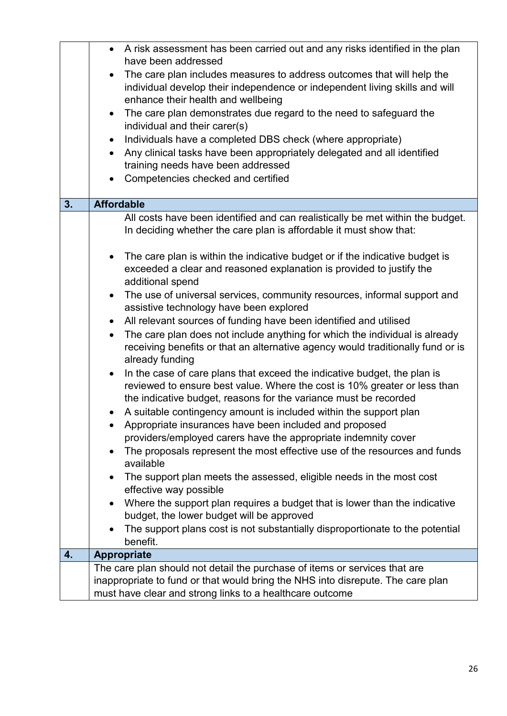|    | A risk assessment has been carried out and any risks identified in the plan<br>have been addressed<br>The care plan includes measures to address outcomes that will help the<br>$\bullet$<br>individual develop their independence or independent living skills and will<br>enhance their health and wellbeing<br>• The care plan demonstrates due regard to the need to safeguard the<br>individual and their carer(s)<br>Individuals have a completed DBS check (where appropriate)<br>$\bullet$<br>Any clinical tasks have been appropriately delegated and all identified<br>$\bullet$ |
|----|--------------------------------------------------------------------------------------------------------------------------------------------------------------------------------------------------------------------------------------------------------------------------------------------------------------------------------------------------------------------------------------------------------------------------------------------------------------------------------------------------------------------------------------------------------------------------------------------|
|    | training needs have been addressed<br>Competencies checked and certified<br>$\bullet$                                                                                                                                                                                                                                                                                                                                                                                                                                                                                                      |
|    |                                                                                                                                                                                                                                                                                                                                                                                                                                                                                                                                                                                            |
| 3. | <b>Affordable</b>                                                                                                                                                                                                                                                                                                                                                                                                                                                                                                                                                                          |
|    | All costs have been identified and can realistically be met within the budget.<br>In deciding whether the care plan is affordable it must show that:                                                                                                                                                                                                                                                                                                                                                                                                                                       |
|    | The care plan is within the indicative budget or if the indicative budget is<br>exceeded a clear and reasoned explanation is provided to justify the<br>additional spend                                                                                                                                                                                                                                                                                                                                                                                                                   |
|    | The use of universal services, community resources, informal support and<br>$\bullet$<br>assistive technology have been explored                                                                                                                                                                                                                                                                                                                                                                                                                                                           |
|    | All relevant sources of funding have been identified and utilised<br>$\bullet$<br>The care plan does not include anything for which the individual is already<br>receiving benefits or that an alternative agency would traditionally fund or is<br>already funding                                                                                                                                                                                                                                                                                                                        |
|    | In the case of care plans that exceed the indicative budget, the plan is<br>$\bullet$<br>reviewed to ensure best value. Where the cost is 10% greater or less than<br>the indicative budget, reasons for the variance must be recorded                                                                                                                                                                                                                                                                                                                                                     |
|    | A suitable contingency amount is included within the support plan                                                                                                                                                                                                                                                                                                                                                                                                                                                                                                                          |
|    | Appropriate insurances have been included and proposed                                                                                                                                                                                                                                                                                                                                                                                                                                                                                                                                     |
|    | providers/employed carers have the appropriate indemnity cover<br>The proposals represent the most effective use of the resources and funds<br>available                                                                                                                                                                                                                                                                                                                                                                                                                                   |
|    | The support plan meets the assessed, eligible needs in the most cost<br>effective way possible                                                                                                                                                                                                                                                                                                                                                                                                                                                                                             |
|    | Where the support plan requires a budget that is lower than the indicative<br>budget, the lower budget will be approved                                                                                                                                                                                                                                                                                                                                                                                                                                                                    |
|    | The support plans cost is not substantially disproportionate to the potential<br>benefit.                                                                                                                                                                                                                                                                                                                                                                                                                                                                                                  |
| 4. | <b>Appropriate</b>                                                                                                                                                                                                                                                                                                                                                                                                                                                                                                                                                                         |
|    | The care plan should not detail the purchase of items or services that are                                                                                                                                                                                                                                                                                                                                                                                                                                                                                                                 |
|    | inappropriate to fund or that would bring the NHS into disrepute. The care plan<br>must have clear and strong links to a healthcare outcome                                                                                                                                                                                                                                                                                                                                                                                                                                                |